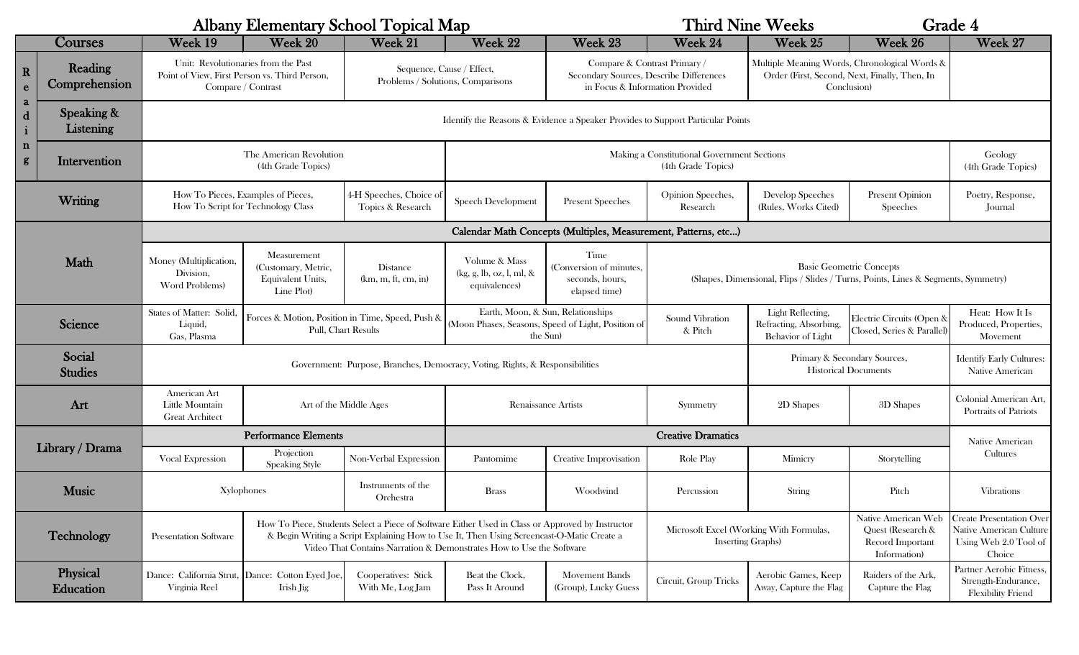| <b>Albany Elementary School Topical Map</b>                         |                          |                                                                                                                                                                                                                               |                                                                          |                                                                |                                                                                                     |                                                                                                            | <b>Third Nine Weeks</b>                                              |                                                                                                                      |                                                                              | Grade 4                                                                                       |  |
|---------------------------------------------------------------------|--------------------------|-------------------------------------------------------------------------------------------------------------------------------------------------------------------------------------------------------------------------------|--------------------------------------------------------------------------|----------------------------------------------------------------|-----------------------------------------------------------------------------------------------------|------------------------------------------------------------------------------------------------------------|----------------------------------------------------------------------|----------------------------------------------------------------------------------------------------------------------|------------------------------------------------------------------------------|-----------------------------------------------------------------------------------------------|--|
| Courses                                                             |                          | Week 19                                                                                                                                                                                                                       | Week 20                                                                  | Week 21                                                        | Week 22                                                                                             | Week 23                                                                                                    | Week 24                                                              | Week 25                                                                                                              | Week 26                                                                      | Week 27                                                                                       |  |
| $\mathbf{R}$<br>$\mathbf{e}$                                        | Reading<br>Comprehension | Unit: Revolutionaries from the Past<br>Point of View, First Person vs. Third Person,<br>Compare / Contrast                                                                                                                    |                                                                          | Sequence, Cause / Effect,<br>Problems / Solutions, Comparisons |                                                                                                     | Compare & Contrast Primary /<br>Secondary Sources, Describe Differences<br>in Focus & Information Provided |                                                                      | Multiple Meaning Words, Chronological Words &<br>Order (First, Second, Next, Finally, Then, In<br>Conclusion)        |                                                                              |                                                                                               |  |
| a<br>$\mathbf d$<br>$\mathbf{i}$<br>$\mathbf n$<br>$\boldsymbol{g}$ | Speaking &<br>Listening  | Identify the Reasons & Evidence a Speaker Provides to Support Particular Points                                                                                                                                               |                                                                          |                                                                |                                                                                                     |                                                                                                            |                                                                      |                                                                                                                      |                                                                              |                                                                                               |  |
|                                                                     | Intervention             | The American Revolution<br>(4th Grade Topics)                                                                                                                                                                                 |                                                                          |                                                                | Making a Constitutional Government Sections<br>(4th Grade Topics)                                   |                                                                                                            |                                                                      |                                                                                                                      |                                                                              | Geology<br>(4th Grade Topics)                                                                 |  |
| Writing                                                             |                          |                                                                                                                                                                                                                               | How To Pieces, Examples of Pieces,<br>How To Script for Technology Class | 4-H Speeches, Choice of<br>Topics & Research                   | <b>Speech Development</b>                                                                           | <b>Present Speeches</b>                                                                                    | Opinion Speeches,<br>Research                                        | Develop Speeches<br>(Rules, Works Cited)                                                                             | <b>Present Opinion</b><br>Speeches                                           | Poetry, Response,<br>Journal                                                                  |  |
|                                                                     |                          | Calendar Math Concepts (Multiples, Measurement, Patterns, etc)                                                                                                                                                                |                                                                          |                                                                |                                                                                                     |                                                                                                            |                                                                      |                                                                                                                      |                                                                              |                                                                                               |  |
| Math                                                                |                          | Money (Multiplication,<br>Division,<br>Word Problems)                                                                                                                                                                         | Measurement<br>(Customary, Metric,<br>Equivalent Units,<br>Line Plot     | <b>Distance</b><br>(km, m, ft, cm, in)                         | Volume & Mass<br>(kg, g, lb, oz, l, ml, &<br>equivalences)                                          | Time<br>(Conversion of minutes,<br>seconds, hours,<br>elapsed time)                                        |                                                                      | <b>Basic Geometric Concepts</b><br>(Shapes, Dimensional, Flips / Slides / Turns, Points, Lines & Segments, Symmetry) |                                                                              |                                                                                               |  |
| Science                                                             |                          | States of Matter: Solid,<br>Liquid,<br>Gas, Plasma                                                                                                                                                                            | Forces & Motion, Position in Time, Speed, Push &<br>Pull, Chart Results  |                                                                | Earth, Moon, & Sun, Relationships<br>(Moon Phases, Seasons, Speed of Light, Position of<br>the Sun) |                                                                                                            | Sound Vibration<br>& Pitch                                           | Light Reflecting,<br>Refracting, Absorbing,<br><b>Behavior</b> of Light                                              | Electric Circuits (Open &<br>Closed, Series & Parallel)                      | Heat: How It Is<br>Produced, Properties,<br>Movement                                          |  |
| Social<br><b>Studies</b>                                            |                          |                                                                                                                                                                                                                               |                                                                          |                                                                | Government: Purpose, Branches, Democracy, Voting, Rights, & Responsibilities                        |                                                                                                            |                                                                      | Primary & Secondary Sources,<br><b>Historical Documents</b>                                                          |                                                                              | <b>Identify Early Cultures:</b><br>Native American                                            |  |
| Art                                                                 |                          | American Art<br>Little Mountain<br><b>Great Architect</b>                                                                                                                                                                     | Art of the Middle Ages                                                   |                                                                | <b>Renaissance Artists</b>                                                                          |                                                                                                            | Symmetry                                                             | 2D Shapes                                                                                                            | 3D Shapes                                                                    | Colonial American Art,<br>Portraits of Patriots                                               |  |
| Library / Drama<br><b>Music</b>                                     |                          | <b>Performance Elements</b>                                                                                                                                                                                                   |                                                                          |                                                                | <b>Creative Dramatics</b>                                                                           |                                                                                                            |                                                                      |                                                                                                                      |                                                                              | Native American                                                                               |  |
|                                                                     |                          | <b>Vocal Expression</b>                                                                                                                                                                                                       | Projection<br><b>Speaking Style</b>                                      | Non-Verbal Expression                                          | Pantomime                                                                                           | Creative Improvisation                                                                                     | Role Play                                                            | Mimicry                                                                                                              | Storytelling                                                                 | Cultures                                                                                      |  |
|                                                                     |                          | Xylophones                                                                                                                                                                                                                    |                                                                          | Instruments of the<br>Orchestra                                | <b>Brass</b>                                                                                        | Woodwind                                                                                                   | Percussion                                                           | String                                                                                                               | Pitch                                                                        | <b>Vibrations</b>                                                                             |  |
| Technology                                                          |                          | How To Piece, Students Select a Piece of Software Either Used in Class or Approved by Instructor<br>& Begin Writing a Script Explaining How to Use It, Then Using Screencast O-Matic Create a<br><b>Presentation Software</b> |                                                                          |                                                                | Video That Contains Narration & Demonstrates How to Use the Software                                |                                                                                                            | Microsoft Excel (Working With Formulas,<br><b>Inserting Graphs</b> ) |                                                                                                                      | Native American Web<br>Quest (Research &<br>Record Important<br>Information) | <b>Create Presentation Over</b><br>Native American Culture<br>Using Web 2.0 Tool of<br>Choice |  |
| Physical<br>Education                                               |                          | Virginia Reel                                                                                                                                                                                                                 | Dance: California Strut, Dance: Cotton Eyed Joe,<br>Irish Jig            | Cooperatives: Stick<br>With Me, Log Jam                        | Beat the Clock,<br>Pass It Around                                                                   | Movement Bands<br>(Group), Lucky Guess                                                                     | Circuit, Group Tricks                                                | Aerobic Games, Keep<br>Away, Capture the Flag                                                                        | Raiders of the Ark,<br>Capture the Flag                                      | Partner Aerobic Fitness,<br>Strength-Endurance,<br><b>Flexibility Friend</b>                  |  |